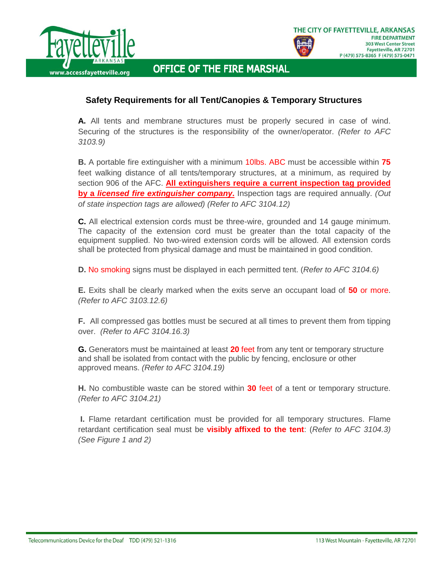



## **OFFICE OF THE FIRE MARSHAL**

## **Safety Requirements for all Tent/Canopies & Temporary Structures**

**A.** All tents and membrane structures must be properly secured in case of wind. Securing of the structures is the responsibility of the owner/operator. *(Refer to AFC 3103.9)*

**B.** A portable fire extinguisher with a minimum 10lbs. ABC must be accessible within **75** feet walking distance of all tents/temporary structures, at a minimum, as required by section 906 of the AFC. **All extinguishers require a current inspection tag provided by a** *licensed fire extinguisher company***.** Inspection tags are required annually. *(Out of state inspection tags are allowed) (Refer to AFC 3104.12)*

**C.** All electrical extension cords must be three-wire, grounded and 14 gauge minimum. The capacity of the extension cord must be greater than the total capacity of the equipment supplied. No two-wired extension cords will be allowed. All extension cords shall be protected from physical damage and must be maintained in good condition.

**D.** No smoking signs must be displayed in each permitted tent. (*Refer to AFC 3104.6)*

**E.** Exits shall be clearly marked when the exits serve an occupant load of **50** or more. *(Refer to AFC 3103.12.6)*

**F.** All compressed gas bottles must be secured at all times to prevent them from tipping over. *(Refer to AFC 3104.16.3)*

**G.** Generators must be maintained at least **20** feet from any tent or temporary structure and shall be isolated from contact with the public by fencing, enclosure or other approved means. *(Refer to AFC 3104.19)*

**H.** No combustible waste can be stored within **30** feet of a tent or temporary structure. *(Refer to AFC 3104.21)*

**I.** Flame retardant certification must be provided for all temporary structures. Flame retardant certification seal must be **visibly affixed to the tent**: (*Refer to AFC 3104.3) (See Figure 1 and 2)*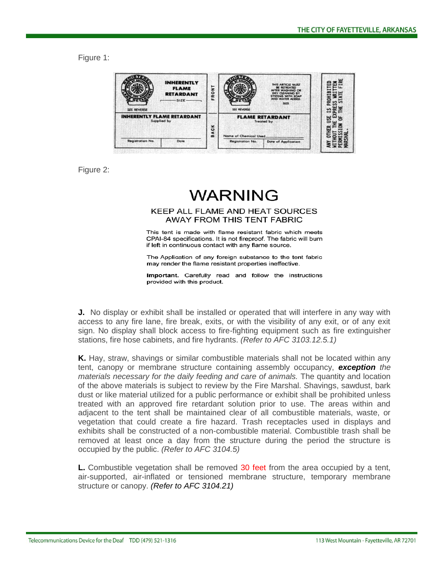Figure 1:



Figure 2:

## **WARNING**

## KEEP ALL FLAME AND HEAT SOURCES AWAY FROM THIS TENT FABRIC

This tent is made with flame resistant fabric which meets CPAI-84 specifications. It is not fireproof. The fabric will burn if left in continuous contact with any flame source.

The Application of any foreign substance to the tent fabric may render the flame resistant properties ineffective.

Important. Carefully read and follow the instructions provided with this product.

**J.** No display or exhibit shall be installed or operated that will interfere in any way with access to any fire lane, fire break, exits, or with the visibility of any exit, or of any exit sign. No display shall block access to fire-fighting equipment such as fire extinguisher stations, fire hose cabinets, and fire hydrants. *(Refer to AFC 3103.12.5.1)*

**K.** Hay, straw, shavings or similar combustible materials shall not be located within any tent, canopy or membrane structure containing assembly occupancy, *exception the materials necessary for the daily feeding and care of animals.* The quantity and location of the above materials is subject to review by the Fire Marshal. Shavings, sawdust, bark dust or like material utilized for a public performance or exhibit shall be prohibited unless treated with an approved fire retardant solution prior to use. The areas within and adjacent to the tent shall be maintained clear of all combustible materials, waste, or vegetation that could create a fire hazard. Trash receptacles used in displays and exhibits shall be constructed of a non-combustible material. Combustible trash shall be removed at least once a day from the structure during the period the structure is occupied by the public. *(Refer to AFC 3104.5)*

**L.** Combustible vegetation shall be removed 30 feet from the area occupied by a tent, air-supported, air-inflated or tensioned membrane structure, temporary membrane structure or canopy. *(Refer to AFC 3104.21)*